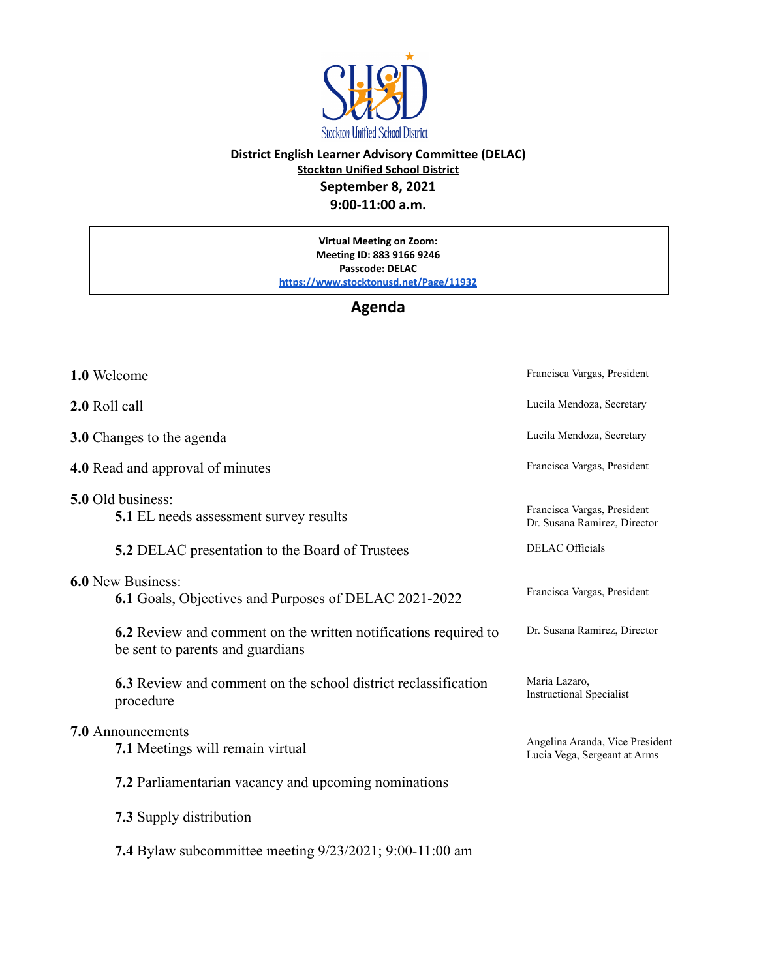

## **District English Learner Advisory Committee (DELAC) Stockton Unified School District September 8, 2021 9:00-11:00 a.m.**

**Virtual Meeting on Zoom: Meeting ID: 883 9166 9246 Passcode: DELAC <https://www.stocktonusd.net/Page/11932>**

## **Agenda**

| 1.0 Welcome                                                                                         | Francisca Vargas, President                                     |
|-----------------------------------------------------------------------------------------------------|-----------------------------------------------------------------|
| 2.0 Roll call                                                                                       | Lucila Mendoza, Secretary                                       |
| 3.0 Changes to the agenda                                                                           | Lucila Mendoza, Secretary                                       |
| <b>4.0</b> Read and approval of minutes                                                             | Francisca Vargas, President                                     |
| 5.0 Old business:<br><b>5.1</b> EL needs assessment survey results                                  | Francisca Vargas, President<br>Dr. Susana Ramirez, Director     |
| <b>5.2</b> DELAC presentation to the Board of Trustees                                              | <b>DELAC Officials</b>                                          |
| <b>6.0 New Business:</b><br>6.1 Goals, Objectives and Purposes of DELAC 2021-2022                   | Francisca Vargas, President                                     |
| 6.2 Review and comment on the written notifications required to<br>be sent to parents and guardians | Dr. Susana Ramirez, Director                                    |
| 6.3 Review and comment on the school district reclassification<br>procedure                         | Maria Lazaro,<br><b>Instructional Specialist</b>                |
| <b>7.0</b> Announcements<br>7.1 Meetings will remain virtual                                        | Angelina Aranda, Vice President<br>Lucia Vega, Sergeant at Arms |
| 7.2 Parliamentarian vacancy and upcoming nominations                                                |                                                                 |
| <b>7.3</b> Supply distribution                                                                      |                                                                 |
| <b>7.4</b> Bylaw subcommittee meeting 9/23/2021; 9:00-11:00 am                                      |                                                                 |